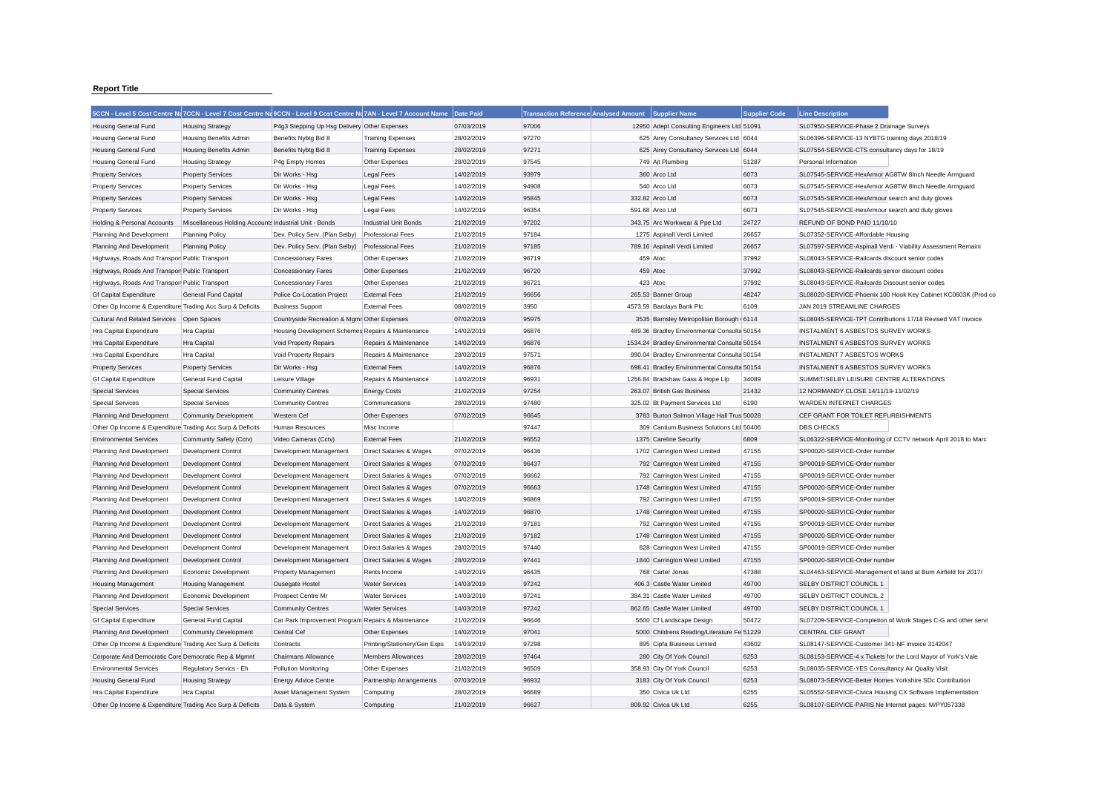## **Report Title**

|                                                           | 5CCN - Level 5 Cost Centre Na 7CCN - Level 7 Cost Centre Na 9CCN - Level 9 Cost Centre Na 7AN - Level 7 Account Name   Date Paid |                                                    |                                                    |                          | <b>Transaction Reference Analysed Amount</b> | <b>Supplier Name</b>                                       | <b>Supplier Code</b> | <b>Line Description</b>                                       |  |
|-----------------------------------------------------------|----------------------------------------------------------------------------------------------------------------------------------|----------------------------------------------------|----------------------------------------------------|--------------------------|----------------------------------------------|------------------------------------------------------------|----------------------|---------------------------------------------------------------|--|
| <b>Housing General Fund</b>                               | <b>Housing Strategy</b>                                                                                                          | P4g3 Stepping Up Hsg Delivery Other Expenses       |                                                    | 07/03/2019               | 97006                                        | 12950 Adept Consulting Engineers Ltd 51091                 |                      | SL07950-SERVICE-Phase 2 Drainage Surveys                      |  |
| <b>Housing General Fund</b>                               | Housing Benefits Admin                                                                                                           | Benefits Nybtg Bid 8                               | <b>Training Expenses</b>                           | 28/02/2019               | 97270                                        | 625 Airey Consultancy Services Ltd 6044                    |                      | SL06396-SERVICE-13 NYBTG training days 2018/19                |  |
| <b>Housing General Fund</b>                               | <b>Housing Benefits Admin</b>                                                                                                    | Benefits Nybtg Bid 8                               | <b>Training Expenses</b>                           | 28/02/2019               | 97271                                        | 625 Airey Consultancy Services Ltd 6044                    |                      | SL07554-SERVICE-CTS consultancy days for 18/19                |  |
| <b>Housing General Fund</b>                               | <b>Housing Strategy</b>                                                                                                          | P4g Empty Homes                                    | Other Expenses                                     | 28/02/2019               | 97545                                        | 749 Ajt Plumbing                                           | 51287                | Personal Information                                          |  |
| <b>Property Services</b>                                  | <b>Property Services</b>                                                                                                         | Dir Works - Hsg                                    | <b>Legal Fees</b>                                  | 14/02/2019               | 93979                                        | 360 Arco Ltd                                               | 6073                 | SL07545-SERVICE-HexArmor AG8TW 8Inch Needle Armguard          |  |
| <b>Property Services</b>                                  | <b>Property Services</b>                                                                                                         | Dir Works - Hsg                                    | <b>Legal Fees</b>                                  | 14/02/2019               | 94908                                        | 540 Arco Ltd                                               | 6073                 | SL07545-SERVICE-HexArmor AG8TW 8Inch Needle Armguard          |  |
| <b>Property Services</b>                                  | <b>Property Services</b>                                                                                                         | Dir Works - Hsg                                    | <b>Legal Fees</b>                                  | 14/02/2019               | 95845                                        | 332.82 Arco Ltd                                            | 6073                 | SL07545-SERVICE-HexArmour search and duty gloves              |  |
| <b>Property Services</b>                                  | <b>Property Services</b>                                                                                                         | Dir Works - Hsg                                    | <b>Legal Fees</b>                                  | 14/02/2019               | 96354                                        | 591.68 Arco Ltd                                            | 6073                 | SL07545-SERVICE-HexArmour search and duty gloves              |  |
| Holding & Personal Accounts                               | Miscellaneous Holding Accounts Industrial Unit - Bonds                                                                           |                                                    | <b>Industrial Unit Bonds</b>                       | 21/02/2019               | 97202                                        | 343.75 Arc Workwear & Ppe Ltd                              | 24727                | REFUND OF BOND PAID 11/10/10                                  |  |
| Planning And Development                                  | <b>Planning Policy</b>                                                                                                           | Dev. Policy Serv. (Plan Selby)                     | <b>Professional Fees</b>                           | 21/02/2019               | 97184                                        | 1275 Aspinall Verdi Limited                                | 26657                | SL07352-SERVICE-Affordable Housing                            |  |
| <b>Planning And Development</b>                           | <b>Planning Policy</b>                                                                                                           | Dev. Policy Serv. (Plan Selby)                     | <b>Professional Fees</b>                           | 21/02/2019               | 97185                                        | 789.16 Aspinall Verdi Limited                              | 26657                | SL07597-SERVICE-Aspinall Verdi - Viability Assessment Remaini |  |
| Highways, Roads And Transpor Public Transport             |                                                                                                                                  | <b>Concessionary Fares</b>                         | Other Expenses                                     | 21/02/2019               | 96719                                        | 459 Atoc                                                   | 37992                | SL08043-SERVICE-Railcards discount senior codes               |  |
| Highways, Roads And Transpor Public Transport             |                                                                                                                                  | <b>Concessionary Fares</b>                         | Other Expenses                                     | 21/02/2019               | 96720                                        | 459 Atoc                                                   | 37992                | SL08043-SERVICE-Railcards senior discount codes               |  |
| Highways, Roads And Transpor Public Transport             |                                                                                                                                  | <b>Concessionary Fares</b>                         | Other Expenses                                     | 21/02/2019               | 96721                                        | 423 Atoc                                                   | 37992                | SL08043-SERVICE-Railcards Discount senior codes               |  |
| <b>Gf Capital Expenditure</b>                             | <b>General Fund Capital</b>                                                                                                      | Police Co-Location Project                         | <b>External Fees</b>                               | 21/02/2019               | 96656                                        | 265.53 Banner Group                                        | 48247                | SL08020-SERVICE-Phoenix 100 Hook Key Cabinet KC0603K (Prod co |  |
| Other Op Income & Expenditure Trading Acc Surp & Deficits |                                                                                                                                  | <b>Business Support</b>                            | <b>External Fees</b>                               | 08/02/2019               | 3950                                         | 4573.59 Barclays Bank Plc                                  | 6109                 | JAN 2019 STREAMLINE CHARGES                                   |  |
| <b>Cultural And Related Services</b>                      | Open Spaces                                                                                                                      | Countryside Recreation & Mgmr Other Expenses       |                                                    | 07/02/2019               | 95975                                        | 3535 Barnsley Metropolitan Borough (6114                   |                      | SL08045-SERVICE-TPT Contributions 17/18 Revised VAT invoice   |  |
| Hra Capital Expenditure                                   | Hra Capital                                                                                                                      | Housing Development Schemes Repairs & Maintenance  |                                                    | 14/02/2019               | 96876                                        | 489.36 Bradley Environmental Consulta 50154                |                      | <b>INSTALMENT 6 ASBESTOS SURVEY WORKS</b>                     |  |
| Hra Capital Expenditure                                   | Hra Capital                                                                                                                      | Void Property Repairs                              | Repairs & Maintenance                              | 14/02/2019               | 96876                                        | 1534.24 Bradley Environmental Consulta 50154               |                      | <b>INSTALMENT 6 ASBESTOS SURVEY WORKS</b>                     |  |
| Hra Capital Expenditure                                   | Hra Capital                                                                                                                      | Void Property Repairs                              | Repairs & Maintenance                              | 28/02/2019               | 97571                                        | 990.04 Bradley Environmental Consulta 50154                |                      | <b>INSTALMENT 7 ASBESTOS WORKS</b>                            |  |
| <b>Property Services</b>                                  | <b>Property Services</b>                                                                                                         | Dir Works - Hsg                                    | <b>External Fees</b>                               | 14/02/2019               | 96876                                        | 698.41 Bradley Environmental Consulta 50154                |                      | INSTALMENT 6 ASBESTOS SURVEY WORKS                            |  |
| <b>Gf Capital Expenditure</b>                             | General Fund Capital                                                                                                             | Leisure Village                                    | Repairs & Maintenance                              | 14/02/2019               | 96931                                        | 1256.84 Bradshaw Gass & Hope Llp                           | 34089                | SUMMIT/SELBY LEISURE CENTRE ALTERATIONS                       |  |
| <b>Special Services</b>                                   | <b>Special Services</b>                                                                                                          | <b>Community Centres</b>                           | <b>Energy Costs</b>                                | 21/02/2019               | 97254                                        | 263.07 British Gas Business                                | 21432                | 12 NORMANDY CLOSE 14/11/19-11/02/19                           |  |
| <b>Special Services</b>                                   | <b>Special Services</b>                                                                                                          | <b>Community Centres</b>                           | Communications                                     | 28/02/2019               | 97480                                        | 325.02 Bt Payment Services Ltd                             | 6190                 | <b>WARDEN INTERNET CHARGES</b>                                |  |
| Planning And Development                                  | <b>Community Development</b>                                                                                                     | <b>Western Cef</b>                                 | Other Expenses                                     | 07/02/2019               | 96645                                        | 3783 Burton Salmon Village Hall Trus 50028                 |                      | CEF GRANT FOR TOILET REFURBISHMENTS                           |  |
| Other Op Income & Expenditure Trading Acc Surp & Deficits |                                                                                                                                  | <b>Human Resources</b>                             | Misc Income                                        |                          | 97447                                        | 309 Cantium Business Solutions Ltd 50406                   |                      | <b>DBS CHECKS</b>                                             |  |
| <b>Environmental Services</b>                             | Community Safety (Cctv)                                                                                                          | Video Cameras (Cctv)                               | <b>External Fees</b>                               | 21/02/2019               | 96552                                        | 1375 Careline Security                                     | 6809                 | SL06322-SERVICE-Monitoring of CCTV network April 2018 to Marc |  |
| Planning And Development                                  | Development Control                                                                                                              | Development Management                             | Direct Salaries & Wages                            | 07/02/2019               | 96436                                        | 1702 Carrington West Limited                               | 47155                | SP00020-SERVICE-Order number                                  |  |
|                                                           |                                                                                                                                  |                                                    |                                                    |                          | 96437                                        |                                                            | 47155                | SP00019-SERVICE-Order number                                  |  |
| Planning And Development                                  | Development Control                                                                                                              | Development Management                             | Direct Salaries & Wages                            | 07/02/2019<br>07/02/2019 | 96662                                        | 792 Carrington West Limited<br>792 Carrington West Limited | 47155                | SP00019-SERVICE-Order number                                  |  |
| Planning And Development                                  | Development Control<br><b>Development Control</b>                                                                                | Development Management                             | Direct Salaries & Wages<br>Direct Salaries & Wages | 07/02/2019               | 96663                                        | 1748 Carrington West Limited                               | 47155                | SP00020-SERVICE-Order number                                  |  |
| Planning And Development                                  |                                                                                                                                  | Development Management                             |                                                    |                          |                                              |                                                            |                      |                                                               |  |
| Planning And Development                                  | Development Control                                                                                                              | Development Management                             | Direct Salaries & Wages                            | 14/02/2019               | 96869                                        | 792 Carrington West Limited                                | 47155<br>47155       | SP00019-SERVICE-Order number                                  |  |
| Planning And Development                                  | <b>Development Control</b>                                                                                                       | Development Management                             | <b>Direct Salaries &amp; Wages</b>                 | 14/02/2019               | 96870<br>97181                               | 1748 Carrington West Limited                               | 47155                | SP00020-SERVICE-Order number                                  |  |
| Planning And Development                                  | Development Control                                                                                                              | Development Management                             | Direct Salaries & Wages                            | 21/02/2019               |                                              | 792 Carrington West Limited                                |                      | SP00019-SERVICE-Order number                                  |  |
| Planning And Development                                  | Development Control                                                                                                              | Development Management                             | Direct Salaries & Wages                            | 21/02/2019               | 97182                                        | 1748 Carrington West Limited                               | 47155                | SP00020-SERVICE-Order number                                  |  |
| Planning And Development                                  | Development Control                                                                                                              | Development Management                             | Direct Salaries & Wages                            | 28/02/2019               | 97440                                        | 828 Carrington West Limited                                | 47155                | SP00019-SERVICE-Order number                                  |  |
| Planning And Development                                  | Development Control                                                                                                              | Development Management                             | Direct Salaries & Wages                            | 28/02/2019               | 97441                                        | 1840 Carrington West Limited                               | 47155                | SP00020-SERVICE-Order number                                  |  |
| Planning And Development                                  | Economic Development                                                                                                             | <b>Property Management</b>                         | Rents Income                                       | 14/02/2019               | 96435                                        | 768 Carter Jonas                                           | 47388                | SL04463-SERVICE-Management of land at Burn Airfield for 2017/ |  |
| <b>Housing Management</b>                                 | <b>Housing Management</b>                                                                                                        | Ousegate Hostel                                    | <b>Water Services</b>                              | 14/03/2019               | 97242                                        | 406.3 Castle Water Limited                                 | 49700                | SELBY DISTRICT COUNCIL 1                                      |  |
| Planning And Development                                  | Economic Development                                                                                                             | Prospect Centre Mr                                 | <b>Water Services</b>                              | 14/03/2019               | 97241                                        | 384.31 Castle Water Limited                                | 49700                | SELBY DISTRICT COUNCIL 2                                      |  |
| <b>Special Services</b>                                   | <b>Special Services</b>                                                                                                          | <b>Community Centres</b>                           | <b>Water Services</b>                              | 14/03/2019               | 97242                                        | 862.65 Castle Water Limited                                | 49700                | SELBY DISTRICT COUNCIL 1                                      |  |
| <b>Gf Capital Expenditure</b>                             | General Fund Capital                                                                                                             | Car Park Improvement Program Repairs & Maintenance |                                                    | 21/02/2019               | 96646                                        | 5600 Cf Landscape Design                                   | 50472                | SL07209-SERVICE-Completion of Work Stages C-G and other servi |  |
| Planning And Development                                  | <b>Community Development</b>                                                                                                     | <b>Central Cef</b>                                 | Other Expenses                                     | 14/02/2019               | 97041                                        | 5000 Childrens Reading/Literature Fe 51229                 |                      | <b>CENTRAL CEF GRANT</b>                                      |  |
| Other Op Income & Expenditure Trading Acc Surp & Deficits |                                                                                                                                  | Contracts                                          | Printing/Stationery/Gen Exps                       | 14/03/2019               | 97298                                        | 895 Cipfa Business Limited                                 | 43602                | SL08147-SERVICE-Customer 341-NF invoice 3142047               |  |
| Corporate And Democratic Core Democratic Rep & Mgmnt      |                                                                                                                                  | <b>Chairmans Allowance</b>                         | <b>Members Allowances</b>                          | 28/02/2019               | 97464                                        | 280 City Of York Council                                   | 6253                 | SL08153-SERVICE-4 x Tickets for the Lord Mayor of York's Vale |  |
| <b>Environmental Services</b>                             | Regulatory Servics - Eh                                                                                                          | <b>Pollution Monitoring</b>                        | Other Expenses                                     | 21/02/2019               | 96509                                        | 358.93 City Of York Council                                | 6253                 | SL08035-SERVICE-YES Consultancy Air Quality Visit             |  |
| <b>Housing General Fund</b>                               | <b>Housing Strategy</b>                                                                                                          | <b>Energy Advice Centre</b>                        | Partnership Arrangements                           | 07/03/2019               | 96932                                        | 3183 City Of York Council                                  | 6253                 | SL08073-SERVICE-Better Homes Yorkshire SDc Contribution       |  |
| Hra Capital Expenditure                                   | Hra Capital                                                                                                                      | Asset Management System                            | Computing                                          | 28/02/2019               | 96689                                        | 350 Civica Uk Ltd                                          | 6255                 | SL05552-SERVICE-Civica Housing CX Software Implementation     |  |
| Other Op Income & Expenditure Trading Acc Surp & Deficits |                                                                                                                                  | Data & System                                      | Computing                                          | 21/02/2019               | 96627                                        | 809.92 Civica Uk Ltd                                       | 6255                 | SL08107-SERVICE-PARIS Ne Internet pages: M/PY057338           |  |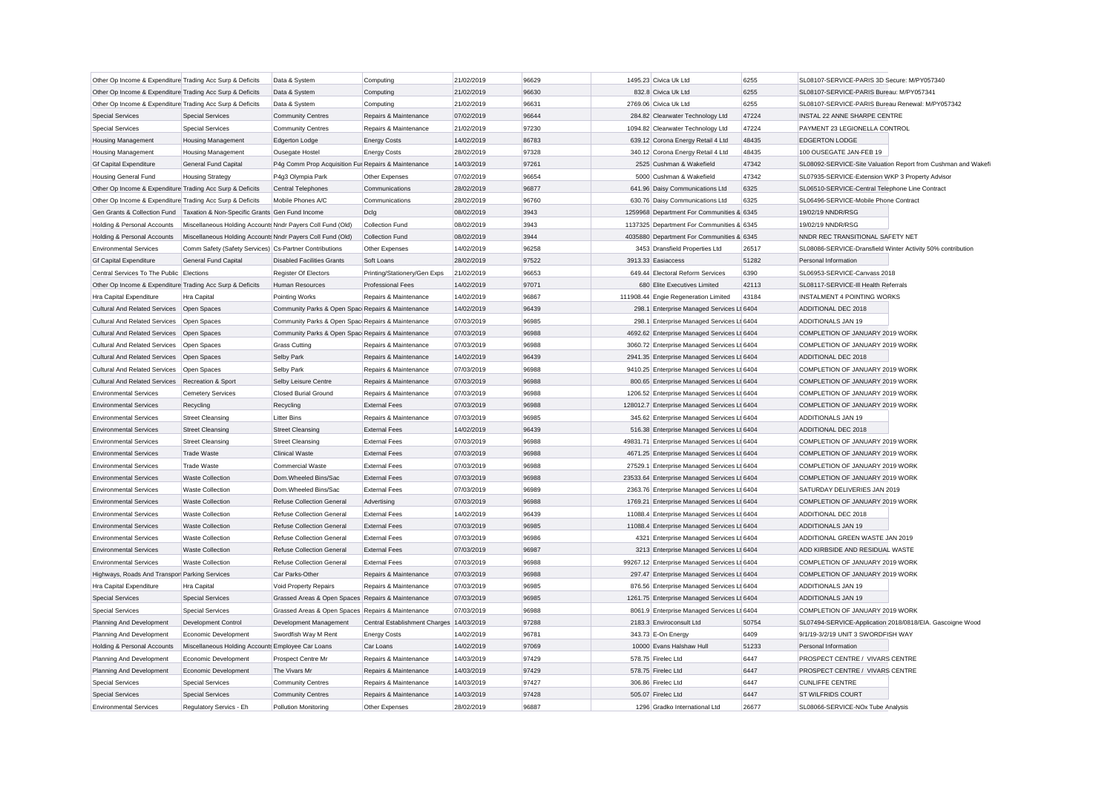| Other Op Income & Expenditure Trading Acc Surp & Deficits |                                                            | Data & System                                       | Computing                                | 21/02/2019 | 96629          | 1495.23 Civica Uk Ltd                        | 6255  | SL08107-SERVICE-PARIS 3D Secure: M/PY057340                 |                                                               |
|-----------------------------------------------------------|------------------------------------------------------------|-----------------------------------------------------|------------------------------------------|------------|----------------|----------------------------------------------|-------|-------------------------------------------------------------|---------------------------------------------------------------|
| Other Op Income & Expenditure Trading Acc Surp & Deficits |                                                            | Data & System                                       | Computing                                | 21/02/2019 | 96630          | 832.8 Civica Uk Ltd                          | 6255  | SL08107-SERVICE-PARIS Bureau: M/PY057341                    |                                                               |
| Other Op Income & Expenditure Trading Acc Surp & Deficits |                                                            | Data & System                                       | Computing                                | 21/02/2019 | 96631          | 2769.06 Civica Uk Ltd                        | 6255  | SL08107-SERVICE-PARIS Bureau Renewal: M/PY057342            |                                                               |
| <b>Special Services</b>                                   | <b>Special Services</b>                                    | <b>Community Centres</b>                            | Repairs & Maintenance                    | 07/02/2019 | 96644          | 284.82 Clearwater Technology Ltd             | 47224 | INSTAL 22 ANNE SHARPE CENTRE                                |                                                               |
| <b>Special Services</b>                                   | <b>Special Services</b>                                    | <b>Community Centres</b>                            | Repairs & Maintenance                    | 21/02/2019 | 97230          | 1094.82 Clearwater Technology Ltd            | 47224 | PAYMENT 23 LEGIONELLA CONTROL                               |                                                               |
| <b>Housing Management</b>                                 | <b>Housing Management</b>                                  | <b>Edgerton Lodge</b>                               | <b>Energy Costs</b>                      | 14/02/2019 | 86783          | 639.12 Corona Energy Retail 4 Ltd            | 48435 | <b>EDGERTON LODGE</b>                                       |                                                               |
| <b>Housing Management</b>                                 | <b>Housing Management</b>                                  | Ousegate Hostel                                     | <b>Energy Costs</b>                      | 28/02/2019 | 97328          | 340.12 Corona Energy Retail 4 Ltd            | 48435 | 100 OUSEGATE JAN-FEB 19                                     |                                                               |
| <b>Gf Capital Expenditure</b>                             | General Fund Capital                                       | P4g Comm Prop Acquisition Fur Repairs & Maintenance |                                          | 14/03/2019 | 97261          | 2525 Cushman & Wakefield                     | 47342 |                                                             | SL08092-SERVICE-Site Valuation Report from Cushman and Wakefi |
| <b>Housing General Fund</b>                               | <b>Housing Strategy</b>                                    | P4g3 Olympia Park                                   | Other Expenses                           | 07/02/2019 | 96654          | 5000 Cushman & Wakefield                     | 47342 | SL07935-SERVICE-Extension WKP 3 Property Advisor            |                                                               |
| Other Op Income & Expenditure Trading Acc Surp & Deficits |                                                            | <b>Central Telephones</b>                           | Communications                           | 28/02/2019 | 96877          | 641.96 Daisy Communications Ltd              | 6325  | SL06510-SERVICE-Central Telephone Line Contract             |                                                               |
| Other Op Income & Expenditure Trading Acc Surp & Deficits |                                                            | Mobile Phones A/C                                   | Communications                           | 28/02/2019 | 96760          | 630.76 Daisy Communications Ltd              | 6325  | SL06496-SERVICE-Mobile Phone Contract                       |                                                               |
| Gen Grants & Collection Fund                              | Taxation & Non-Specific Grants Gen Fund Income             |                                                     | Dclg                                     | 08/02/2019 | 3943           | 1259968 Department For Communities & 6345    |       | 19/02/19 NNDR/RSG                                           |                                                               |
| Holding & Personal Accounts                               | Miscellaneous Holding Accounts Nndr Payers Coll Fund (Old) |                                                     | Collection Fund                          | 08/02/2019 | 3943           | 1137325 Department For Communities & 6345    |       | 19/02/19 NNDR/RSG                                           |                                                               |
| Holding & Personal Accounts                               | Miscellaneous Holding Accounts Nndr Payers Coll Fund (Old) |                                                     | Collection Fund                          | 08/02/2019 | 3944           | 4035880 Department For Communities & 6345    |       | NNDR REC TRANSITIONAL SAFETY NET                            |                                                               |
| <b>Environmental Services</b>                             | Comm Safety (Safety Services) Cs-Partner Contributions     |                                                     | Other Expenses                           | 14/02/2019 | 96258          | 3453 Dransfield Properties Ltd               | 26517 | SL08086-SERVICE-Dransfield Winter Activity 50% contribution |                                                               |
| <b>Gf Capital Expenditure</b>                             | General Fund Capital                                       | <b>Disabled Facilities Grants</b>                   | Soft Loans                               | 28/02/2019 | 97522          | 3913.33 Easiaccess                           | 51282 | Personal Information                                        |                                                               |
| Central Services To The Public Elections                  |                                                            | Register Of Electors                                | Printing/Stationery/Gen Exps             | 21/02/2019 | 96653          | 649.44 Electoral Reform Services             | 6390  | SL06953-SERVICE-Canvass 2018                                |                                                               |
| Other Op Income & Expenditure Trading Acc Surp & Deficits |                                                            | Human Resources                                     | <b>Professional Fees</b>                 | 14/02/2019 | 97071          | 680 Elite Executives Limited                 | 42113 | SL08117-SERVICE-III Health Referrals                        |                                                               |
| Hra Capital Expenditure                                   | Hra Capital                                                |                                                     | Repairs & Maintenance                    | 14/02/2019 | 96867          | 111908.44 Engie Regeneration Limited         | 43184 | <b>INSTALMENT 4 POINTING WORKS</b>                          |                                                               |
|                                                           |                                                            | Pointing Works                                      |                                          | 14/02/2019 | 96439          |                                              |       | ADDITIONAL DEC 2018                                         |                                                               |
| <b>Cultural And Related Services</b>                      | Open Spaces                                                | Community Parks & Open Spac Repairs & Maintenance   |                                          |            |                | 298.1 Enterprise Managed Services Lt 6404    |       |                                                             |                                                               |
| <b>Cultural And Related Services</b>                      | Open Spaces                                                | Community Parks & Open Spac Repairs & Maintenance   |                                          | 07/03/2019 | 96985<br>96988 | 298.1 Enterprise Managed Services Lt 6404    |       | ADDITIONALS JAN 19<br>COMPLETION OF JANUARY 2019 WORK       |                                                               |
| Cultural And Related Services Open Spaces                 |                                                            | Community Parks & Open Spac Repairs & Maintenance   |                                          | 07/03/2019 |                | 4692.62 Enterprise Managed Services Lt 6404  |       |                                                             |                                                               |
| Cultural And Related Services                             | Open Spaces                                                | <b>Grass Cutting</b>                                | Repairs & Maintenance                    | 07/03/2019 | 96988          | 3060.72 Enterprise Managed Services Lt 6404  |       | COMPLETION OF JANUARY 2019 WORK                             |                                                               |
| <b>Cultural And Related Services</b>                      | Open Spaces                                                | Selby Park                                          | Repairs & Maintenance                    | 14/02/2019 | 96439          | 2941.35 Enterprise Managed Services Lt 6404  |       | ADDITIONAL DEC 2018                                         |                                                               |
| <b>Cultural And Related Services</b>                      | Open Spaces                                                | Selby Park                                          | Repairs & Maintenance                    | 07/03/2019 | 96988          | 9410.25 Enterprise Managed Services Lt 6404  |       | COMPLETION OF JANUARY 2019 WORK                             |                                                               |
| <b>Cultural And Related Services</b>                      | Recreation & Sport                                         | Selby Leisure Centre                                | Repairs & Maintenance                    | 07/03/2019 | 96988          | 800.65 Enterprise Managed Services Lt 6404   |       | COMPLETION OF JANUARY 2019 WORK                             |                                                               |
| <b>Environmental Services</b>                             | <b>Cemetery Services</b>                                   | <b>Closed Burial Ground</b>                         | Repairs & Maintenance                    | 07/03/2019 | 96988          | 1206.52 Enterprise Managed Services Lt 6404  |       | COMPLETION OF JANUARY 2019 WORK                             |                                                               |
| <b>Environmental Services</b>                             | Recycling                                                  | Recycling                                           | <b>External Fees</b>                     | 07/03/2019 | 96988          | 128012.7 Enterprise Managed Services Lt 6404 |       | COMPLETION OF JANUARY 2019 WORK                             |                                                               |
| <b>Environmental Services</b>                             | <b>Street Cleansing</b>                                    | <b>Litter Bins</b>                                  | Repairs & Maintenance                    | 07/03/2019 | 96985          | 345.62 Enterprise Managed Services Lt 6404   |       | <b>ADDITIONALS JAN 19</b>                                   |                                                               |
| <b>Environmental Services</b>                             | <b>Street Cleansing</b>                                    | <b>Street Cleansing</b>                             | <b>External Fees</b>                     | 14/02/2019 | 96439          | 516.38 Enterprise Managed Services Lt 6404   |       | ADDITIONAL DEC 2018                                         |                                                               |
| <b>Environmental Services</b>                             | <b>Street Cleansing</b>                                    | <b>Street Cleansing</b>                             | <b>External Fees</b>                     | 07/03/2019 | 96988          | 49831.71 Enterprise Managed Services Lt 6404 |       | COMPLETION OF JANUARY 2019 WORK                             |                                                               |
| <b>Environmental Services</b>                             | <b>Trade Waste</b>                                         | <b>Clinical Waste</b>                               | <b>External Fees</b>                     | 07/03/2019 | 96988          | 4671.25 Enterprise Managed Services Lt 6404  |       | COMPLETION OF JANUARY 2019 WORK                             |                                                               |
| <b>Environmental Services</b>                             | <b>Trade Waste</b>                                         | <b>Commercial Waste</b>                             | <b>External Fees</b>                     | 07/03/2019 | 96988          | 27529.1 Enterprise Managed Services Lt 6404  |       | COMPLETION OF JANUARY 2019 WORK                             |                                                               |
| <b>Environmental Services</b>                             | <b>Waste Collection</b>                                    | Dom.Wheeled Bins/Sac                                | <b>External Fees</b>                     | 07/03/2019 | 96988          | 23533.64 Enterprise Managed Services Lt 6404 |       | COMPLETION OF JANUARY 2019 WORK                             |                                                               |
| <b>Environmental Services</b>                             | <b>Waste Collection</b>                                    | Dom.Wheeled Bins/Sac                                | <b>External Fees</b>                     | 07/03/2019 | 96989          | 2363.76 Enterprise Managed Services Lt 6404  |       | SATURDAY DELIVERIES JAN 2019                                |                                                               |
| <b>Environmental Services</b>                             | <b>Waste Collection</b>                                    | <b>Refuse Collection General</b>                    | Advertising                              | 07/03/2019 | 96988          | 1769.21 Enterprise Managed Services Lt 6404  |       | COMPLETION OF JANUARY 2019 WORK                             |                                                               |
| <b>Environmental Services</b>                             | <b>Waste Collection</b>                                    | <b>Refuse Collection General</b>                    | <b>External Fees</b>                     | 14/02/2019 | 96439          | 11088.4 Enterprise Managed Services Lt 6404  |       | ADDITIONAL DEC 2018                                         |                                                               |
| <b>Environmental Services</b>                             | <b>Waste Collection</b>                                    | <b>Refuse Collection General</b>                    | <b>External Fees</b>                     | 07/03/2019 | 96985          | 11088.4 Enterprise Managed Services Lt 6404  |       | ADDITIONALS JAN 19                                          |                                                               |
| <b>Environmental Services</b>                             | Waste Collection                                           | <b>Refuse Collection General</b>                    | <b>External Fees</b>                     | 07/03/2019 | 96986          | 4321 Enterprise Managed Services Lt 6404     |       | ADDITIONAL GREEN WASTE JAN 2019                             |                                                               |
| <b>Environmental Services</b>                             | <b>Waste Collection</b>                                    | <b>Refuse Collection General</b>                    | <b>External Fees</b>                     | 07/03/2019 | 96987          | 3213 Enterprise Managed Services Lt 6404     |       | ADD KIRBSIDE AND RESIDUAL WASTE                             |                                                               |
| <b>Environmental Services</b>                             | <b>Waste Collection</b>                                    | <b>Refuse Collection General</b>                    | <b>External Fees</b>                     | 07/03/2019 | 96988          | 99267.12 Enterprise Managed Services Lt 6404 |       | COMPLETION OF JANUARY 2019 WORK                             |                                                               |
| Highways, Roads And Transpor Parking Services             |                                                            | Car Parks-Other                                     | Repairs & Maintenance                    | 07/03/2019 | 96988          | 297.47 Enterprise Managed Services Lt 6404   |       | COMPLETION OF JANUARY 2019 WORK                             |                                                               |
| Hra Capital Expenditure                                   | Hra Capital                                                | <b>Void Property Repairs</b>                        | Repairs & Maintenance                    | 07/03/2019 | 96985          | 876.56 Enterprise Managed Services Lt 6404   |       | <b>ADDITIONALS JAN 19</b>                                   |                                                               |
| <b>Special Services</b>                                   | <b>Special Services</b>                                    | Grassed Areas & Open Spaces Repairs & Maintenance   |                                          | 07/03/2019 | 96985          | 1261.75 Enterprise Managed Services Lt 6404  |       | ADDITIONALS JAN 19                                          |                                                               |
| <b>Special Services</b>                                   | <b>Special Services</b>                                    | Grassed Areas & Open Spaces Repairs & Maintenance   |                                          | 07/03/2019 | 96988          | 8061.9 Enterprise Managed Services Lt 6404   |       | COMPLETION OF JANUARY 2019 WORK                             |                                                               |
| Planning And Development                                  | Development Control                                        | Development Management                              | Central Establishment Charges 14/03/2019 |            | 97288          | 2183.3 Enviroconsult Ltd                     | 50754 |                                                             | SL07494-SERVICE-Application 2018/0818/EIA. Gascoigne Wood     |
| Planning And Development                                  | Economic Development                                       | Swordfish Way M Rent                                | <b>Energy Costs</b>                      | 14/02/2019 | 96781          | 343.73 E-On Energy                           | 6409  | 9/1/19-3/2/19 UNIT 3 SWORDFISH WAY                          |                                                               |
| Holding & Personal Accounts                               | Miscellaneous Holding Accounts Employee Car Loans          |                                                     | Car Loans                                | 14/02/2019 | 97069          | 10000 Evans Halshaw Hull                     | 51233 | Personal Information                                        |                                                               |
| Planning And Development                                  | Economic Development                                       | Prospect Centre Mr                                  | Repairs & Maintenance                    | 14/03/2019 | 97429          | 578.75 Firelec Ltd                           | 6447  | PROSPECT CENTRE / VIVARS CENTRE                             |                                                               |
| Planning And Development                                  | Economic Development                                       | The Vivars Mr                                       | Repairs & Maintenance                    | 14/03/2019 | 97429          | 578.75 Firelec Ltd                           | 6447  | PROSPECT CENTRE / VIVARS CENTRE                             |                                                               |
| <b>Special Services</b>                                   | <b>Special Services</b>                                    | <b>Community Centres</b>                            | Repairs & Maintenance                    | 14/03/2019 | 97427          | 306.86 Firelec Ltd                           | 6447  | <b>CUNLIFFE CENTRE</b>                                      |                                                               |
| <b>Special Services</b>                                   | <b>Special Services</b>                                    | <b>Community Centres</b>                            | Repairs & Maintenance                    | 14/03/2019 | 97428          | 505.07 Firelec Ltd                           | 6447  | ST WILFRIDS COURT                                           |                                                               |
| Environmental Services                                    | Regulatory Servics - Eh                                    | Pollution Monitoring                                | Other Expenses                           | 28/02/2019 | 96887          | 1296 Gradko International Ltd                | 26677 | SL08066-SERVICE-NOx Tube Analysis                           |                                                               |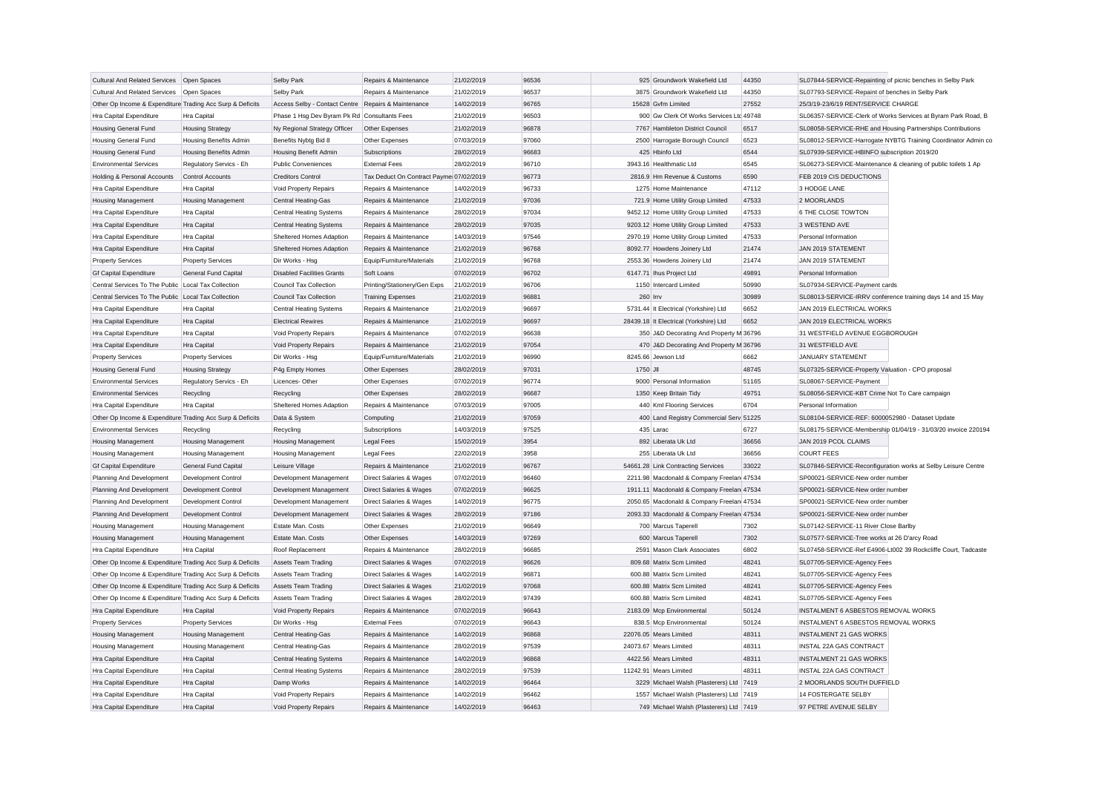|                                                           |                               |                                                     |                                         | 21/02/2019 | 96536 |          | 925 Groundwork Wakefield Ltd              | 44350 |                                                               |
|-----------------------------------------------------------|-------------------------------|-----------------------------------------------------|-----------------------------------------|------------|-------|----------|-------------------------------------------|-------|---------------------------------------------------------------|
| Cultural And Related Services Open Spaces                 |                               | Selby Park                                          | Repairs & Maintenance                   |            |       |          |                                           |       | SL07844-SERVICE-Repainting of picnic benches in Selby Park    |
| <b>Cultural And Related Services</b>                      | Open Spaces                   | Selby Park                                          | Repairs & Maintenance                   | 21/02/2019 | 96537 |          | 3875 Groundwork Wakefield Ltd             | 44350 | SL07793-SERVICE-Repaint of benches in Selby Park              |
| Other Op Income & Expenditure Trading Acc Surp & Deficits |                               | Access Selby - Contact Centre Repairs & Maintenance |                                         | 14/02/2019 | 96765 |          | 15628 Gvfm Limited                        | 27552 | 25/3/19-23/6/19 RENT/SERVICE CHARGE                           |
| Hra Capital Expenditure                                   | Hra Capital                   | Phase 1 Hsg Dev Byram Pk Rd Consultants Fees        |                                         | 21/02/2019 | 96503 |          | 900 Gw Clerk Of Works Services Ltc 49748  |       | SL06357-SERVICE-Clerk of Works Services at Byram Park Road, B |
| <b>Housing General Fund</b>                               | <b>Housing Strategy</b>       | Ny Regional Strategy Officer                        | Other Expenses                          | 21/02/2019 | 96878 |          | 7767 Hambleton District Council           | 6517  | SL08058-SERVICE-RHE and Housing Partnerships Contributions    |
| Housing General Fund                                      | <b>Housing Benefits Admin</b> | Benefits Nybtg Bid 8                                | Other Expenses                          | 07/03/2019 | 97060 |          | 2500 Harrogate Borough Council            | 6523  | SL08012-SERVICE-Harrogate NYBTG Training Coordinator Admin co |
| <b>Housing General Fund</b>                               | <b>Housing Benefits Admin</b> | Housing Benefit Admin                               | Subscriptions                           | 28/02/2019 | 96683 |          | 425 Hbinfo Ltd                            | 6544  | SL07939-SERVICE-HBINFO subscription 2019/20                   |
| <b>Environmental Services</b>                             | Regulatory Servics - Eh       | <b>Public Conveniences</b>                          | <b>External Fees</b>                    | 28/02/2019 | 96710 |          | 3943.16 Healthmatic Ltd                   | 6545  | SL06273-SERVICE-Maintenance & cleaning of public toilets 1 Ap |
| Holding & Personal Accounts                               | Control Accounts              | <b>Creditors Control</b>                            | Tax Deduct On Contract Payme 07/02/2019 |            | 96773 |          | 2816.9 Hm Revenue & Customs               | 6590  | FEB 2019 CIS DEDUCTIONS                                       |
| Hra Capital Expenditure                                   | Hra Capital                   | Void Property Repairs                               | Repairs & Maintenance                   | 14/02/2019 | 96733 |          | 1275 Home Maintenance                     | 47112 | 3 HODGE LANE                                                  |
| <b>Housing Management</b>                                 | <b>Housing Management</b>     | <b>Central Heating-Gas</b>                          | Repairs & Maintenance                   | 21/02/2019 | 97036 |          | 721.9 Home Utility Group Limited          | 47533 | 2 MOORLANDS                                                   |
| Hra Capital Expenditure                                   | Hra Capital                   | <b>Central Heating Systems</b>                      | Repairs & Maintenance                   | 28/02/2019 | 97034 |          | 9452.12 Home Utility Group Limited        | 47533 | 6 THE CLOSE TOWTON                                            |
| Hra Capital Expenditure                                   | Hra Capital                   | <b>Central Heating Systems</b>                      | Repairs & Maintenance                   | 28/02/2019 | 97035 |          | 9203.12 Home Utility Group Limited        | 47533 | 3 WESTEND AVE                                                 |
| Hra Capital Expenditure                                   | Hra Capital                   | Sheltered Homes Adaption                            | Repairs & Maintenance                   | 14/03/2019 | 97546 |          | 2970.19 Home Utility Group Limited        | 47533 | Personal Information                                          |
| Hra Capital Expenditure                                   | Hra Capital                   | Sheltered Homes Adaption                            | Repairs & Maintenance                   | 21/02/2019 | 96768 |          | 8092.77 Howdens Joinery Ltd               | 21474 | JAN 2019 STATEMENT                                            |
| <b>Property Services</b>                                  | <b>Property Services</b>      | Dir Works - Hsg                                     | Equip/Furniture/Materials               | 21/02/2019 | 96768 |          | 2553.36 Howdens Joinery Ltd               | 21474 | JAN 2019 STATEMENT                                            |
| <b>Gf Capital Expenditure</b>                             | <b>General Fund Capital</b>   | <b>Disabled Facilities Grants</b>                   | Soft Loans                              | 07/02/2019 | 96702 |          | 6147.71 Ihus Project Ltd                  | 49891 | Personal Information                                          |
| Central Services To The Public Local Tax Collection       |                               | <b>Council Tax Collection</b>                       | Printing/Stationery/Gen Exps            | 21/02/2019 | 96706 |          | 1150 Intercard Limited                    | 50990 | SL07934-SERVICE-Payment cards                                 |
|                                                           |                               |                                                     |                                         |            |       |          |                                           |       |                                                               |
| Central Services To The Public Local Tax Collection       |                               | Council Tax Collection                              | <b>Training Expenses</b>                | 21/02/2019 | 96881 | 260 Irrv |                                           | 30989 | SL08013-SERVICE-IRRV conference training days 14 and 15 May   |
| Hra Capital Expenditure                                   | Hra Capital                   | Central Heating Systems                             | Repairs & Maintenance                   | 21/02/2019 | 96697 |          | 5731.44 It Electrical (Yorkshire) Ltd     | 6652  | JAN 2019 ELECTRICAL WORKS                                     |
| Hra Capital Expenditure                                   | Hra Capital                   | <b>Electrical Rewires</b>                           | Repairs & Maintenance                   | 21/02/2019 | 96697 |          | 28439.18 It Electrical (Yorkshire) Ltd    | 6652  | JAN 2019 ELECTRICAL WORKS                                     |
| Hra Capital Expenditure                                   | Hra Capital                   | Void Property Repairs                               | Repairs & Maintenance                   | 07/02/2019 | 96638 |          | 350 J&D Decorating And Property M 36796   |       | 31 WESTFIELD AVENUE EGGBOROUGH                                |
| Hra Capital Expenditure                                   | Hra Capital                   | Void Property Repairs                               | Repairs & Maintenance                   | 21/02/2019 | 97054 |          | 470 J&D Decorating And Property M 36796   |       | 31 WESTFIELD AVE                                              |
| <b>Property Services</b>                                  | <b>Property Services</b>      | Dir Works - Hsg                                     | Equip/Furniture/Materials               | 21/02/2019 | 96990 |          | 8245.66 Jewson Ltd                        | 6662  | <b>JANUARY STATEMENT</b>                                      |
| <b>Housing General Fund</b>                               | <b>Housing Strategy</b>       | P4g Empty Homes                                     | Other Expenses                          | 28/02/2019 | 97031 | 1750 JII |                                           | 48745 | SL07325-SERVICE-Property Valuation - CPO proposal             |
| <b>Environmental Services</b>                             | Regulatory Servics - Eh       | Licences-Other                                      | Other Expenses                          | 07/02/2019 | 96774 |          | 9000 Personal Information                 | 51165 | SL08067-SERVICE-Payment                                       |
| <b>Environmental Services</b>                             | Recycling                     | Recycling                                           | Other Expenses                          | 28/02/2019 | 96687 |          | 1350 Keep Britain Tidy                    | 49751 | SL08056-SERVICE-KBT Crime Not To Care campaign                |
| Hra Capital Expenditure                                   | Hra Capital                   | Sheltered Homes Adaption                            | Repairs & Maintenance                   | 07/03/2019 | 97005 |          | 440 Kml Flooring Services                 | 6704  | Personal Information                                          |
| Other Op Income & Expenditure Trading Acc Surp & Deficits |                               | Data & System                                       | Computing                               | 21/02/2019 | 97059 |          | 400 Land Registry Commercial Serv 51225   |       | SL08104-SERVICE-REF: 6000052980 - Dataset Update              |
| <b>Environmental Services</b>                             | Recycling                     | Recycling                                           | Subscriptions                           | 14/03/2019 | 97525 |          | 435 Larac                                 | 6727  | SL08175-SERVICE-Membership 01/04/19 - 31/03/20 invoice 220194 |
| <b>Housing Management</b>                                 | Housing Management            | <b>Housing Management</b>                           | <b>Legal Fees</b>                       | 15/02/2019 | 3954  |          | 892 Liberata Uk Ltd                       | 36656 | JAN 2019 PCOL CLAIMS                                          |
| <b>Housing Management</b>                                 | <b>Housing Management</b>     | <b>Housing Management</b>                           | <b>Legal Fees</b>                       | 22/02/2019 | 3958  |          | 255 Liberata Uk Ltd                       | 36656 | <b>COURT FEES</b>                                             |
| <b>Gf Capital Expenditure</b>                             | <b>General Fund Capital</b>   | Leisure Village                                     | Repairs & Maintenance                   | 21/02/2019 | 96767 |          | 54661.28 Link Contracting Services        | 33022 | SL07846-SERVICE-Reconfiguration works at Selby Leisure Centre |
|                                                           | Development Control           | Development Management                              | Direct Salaries & Wages                 | 07/02/2019 | 96460 |          | 2211.98 Macdonald & Company Freelan 47534 |       | SP00021-SERVICE-New order number                              |
| Planning And Development                                  |                               |                                                     |                                         |            |       |          |                                           |       |                                                               |
| Planning And Development                                  | Development Control           | Development Management                              | Direct Salaries & Wages                 | 07/02/2019 | 96625 |          | 1911.11 Macdonald & Company Freelan 47534 |       | SP00021-SERVICE-New order number                              |
| Planning And Development                                  | Development Control           | Development Management                              | Direct Salaries & Wages                 | 14/02/2019 | 96775 |          | 2050.65 Macdonald & Company Freelan 47534 |       | SP00021-SERVICE-New order number                              |
| Planning And Development                                  | Development Control           | Development Management                              | Direct Salaries & Wages                 | 28/02/2019 | 97186 |          | 2093.33 Macdonald & Company Freelan 47534 |       | SP00021-SERVICE-New order number                              |
| <b>Housing Management</b>                                 | <b>Housing Management</b>     | Estate Man. Costs                                   | Other Expenses                          | 21/02/2019 | 96649 |          | 700 Marcus Taperell                       | 7302  | SL07142-SERVICE-11 River Close Barlby                         |
| <b>Housing Management</b>                                 | <b>Housing Management</b>     | <b>Estate Man. Costs</b>                            | Other Expenses                          | 14/03/2019 | 97269 |          | 600 Marcus Taperell                       | 7302  | SL07577-SERVICE-Tree works at 26 D'arcy Road                  |
| Hra Capital Expenditure                                   | Hra Capital                   | Roof Replacement                                    | Repairs & Maintenance                   | 28/02/2019 | 96685 |          | 2591 Mason Clark Associates               | 6802  | SL07458-SERVICE-Ref E4906-Lt002 39 Rockcliffe Court, Tadcaste |
| Other Op Income & Expenditure Trading Acc Surp & Deficits |                               | <b>Assets Team Trading</b>                          | Direct Salaries & Wages                 | 07/02/2019 | 96626 |          | 809.68 Matrix Scm Limited                 | 48241 | SL07705-SERVICE-Agency Fees                                   |
| Other Op Income & Expenditure Trading Acc Surp & Deficits |                               | <b>Assets Team Trading</b>                          | Direct Salaries & Wages                 | 14/02/2019 | 96871 |          | 600.88 Matrix Scm Limited                 | 48241 | SL07705-SERVICE-Agency Fees                                   |
| Other Op Income & Expenditure Trading Acc Surp & Deficits |                               | <b>Assets Team Trading</b>                          | Direct Salaries & Wages                 | 21/02/2019 | 97068 |          | 600.88 Matrix Scm Limited                 | 48241 | SL07705-SERVICE-Agency Fees                                   |
| Other Op Income & Expenditure Trading Acc Surp & Deficits |                               | <b>Assets Team Trading</b>                          | Direct Salaries & Wages                 | 28/02/2019 | 97439 |          | 600.88 Matrix Scm Limited                 | 48241 | SL07705-SERVICE-Agency Fees                                   |
| Hra Capital Expenditure                                   | Hra Capital                   | Void Property Repairs                               | Repairs & Maintenance                   | 07/02/2019 | 96643 |          | 2183.09 Mcp Environmental                 | 50124 | INSTALMENT 6 ASBESTOS REMOVAL WORKS                           |
| <b>Property Services</b>                                  | <b>Property Services</b>      | Dir Works - Hsg                                     | <b>External Fees</b>                    | 07/02/2019 | 96643 |          | 838.5 Mcp Environmental                   | 50124 | INSTALMENT 6 ASBESTOS REMOVAL WORKS                           |
| <b>Housing Management</b>                                 | <b>Housing Management</b>     | Central Heating-Gas                                 | Repairs & Maintenance                   | 14/02/2019 | 96868 |          | 22076.05 Mears Limited                    | 48311 | <b>INSTALMENT 21 GAS WORKS</b>                                |
| <b>Housing Management</b>                                 | <b>Housing Management</b>     | Central Heating-Gas                                 | Repairs & Maintenance                   | 28/02/2019 | 97539 |          | 24073.67 Mears Limited                    | 48311 | <b>INSTAL 22A GAS CONTRACT</b>                                |
| Hra Capital Expenditure                                   | Hra Capital                   | <b>Central Heating Systems</b>                      | Repairs & Maintenance                   | 14/02/2019 | 96868 |          | 4422.56 Mears Limited                     | 48311 | <b>INSTALMENT 21 GAS WORKS</b>                                |
|                                                           |                               |                                                     | Repairs & Maintenance                   |            | 97539 |          | 11242.91 Mears Limited                    | 48311 | <b>INSTAL 22A GAS CONTRACT</b>                                |
| Hra Capital Expenditure                                   | Hra Capital                   | <b>Central Heating Systems</b>                      |                                         | 28/02/2019 |       |          |                                           |       |                                                               |
| Hra Capital Expenditure                                   | Hra Capital                   | Damp Works                                          | Repairs & Maintenance                   | 14/02/2019 | 96464 |          | 3229 Michael Walsh (Plasterers) Ltd 7419  |       | 2 MOORLANDS SOUTH DUFFIELD                                    |
| Hra Capital Expenditure                                   | Hra Capital                   | Void Property Repairs                               | Repairs & Maintenance                   | 14/02/2019 | 96462 |          | 1557 Michael Walsh (Plasterers) Ltd 7419  |       | 14 FOSTERGATE SELBY                                           |
| Hra Capital Expenditure                                   | Hra Capital                   | Void Property Repairs                               | Repairs & Maintenance                   | 14/02/2019 | 96463 |          | 749 Michael Walsh (Plasterers) Ltd 7419   |       | 97 PETRE AVENUE SELBY                                         |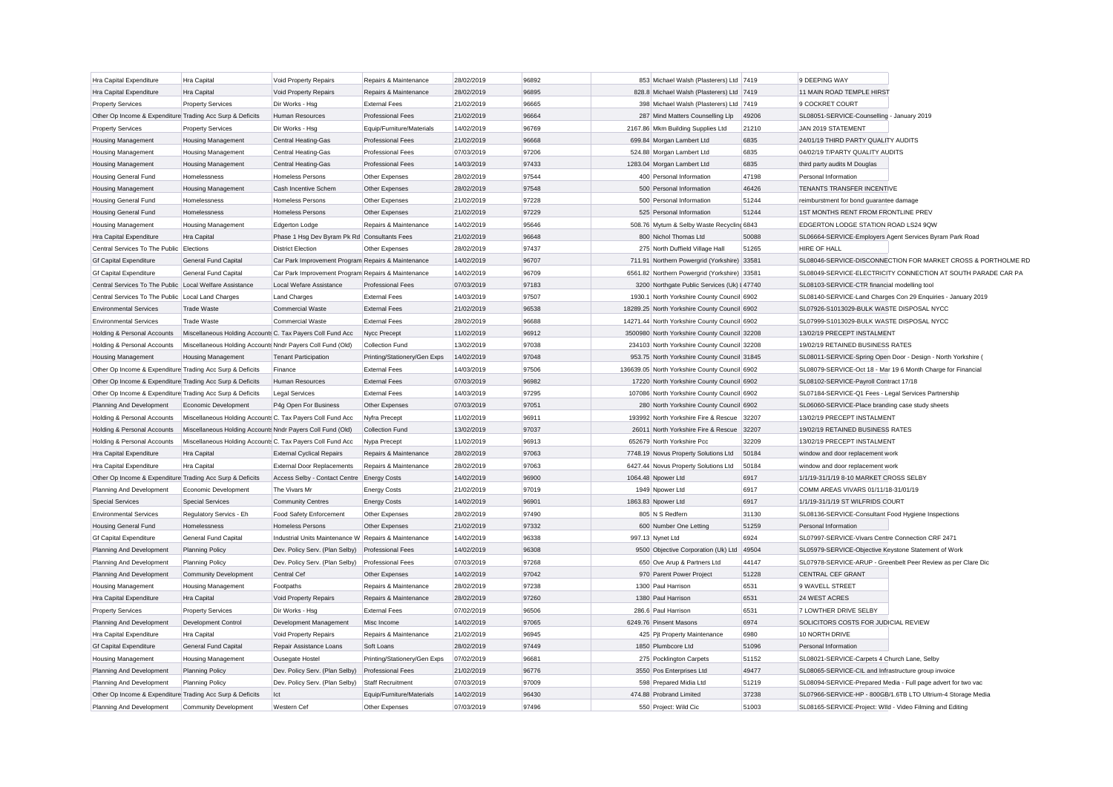| Hra Capital Expenditure                                   | Hra Capital                                                | Void Property Repairs                                | Repairs & Maintenance        | 28/02/2019 | 96892 | 853 Michael Walsh (Plasterers) Ltd 7419       |       | 9 DEEPING WAY                                             |                                                               |
|-----------------------------------------------------------|------------------------------------------------------------|------------------------------------------------------|------------------------------|------------|-------|-----------------------------------------------|-------|-----------------------------------------------------------|---------------------------------------------------------------|
| Hra Capital Expenditure                                   | <b>Hra Capital</b>                                         | Void Property Repairs                                | Repairs & Maintenance        | 28/02/2019 | 96895 | 828.8 Michael Walsh (Plasterers) Ltd 7419     |       | 11 MAIN ROAD TEMPLE HIRST                                 |                                                               |
| <b>Property Services</b>                                  | <b>Property Services</b>                                   | Dir Works - Hsa                                      | <b>External Fees</b>         | 21/02/2019 | 96665 | 398 Michael Walsh (Plasterers) Ltd 7419       |       | 9 COCKRET COURT                                           |                                                               |
| Other Op Income & Expenditure Trading Acc Surp & Deficits |                                                            | <b>Human Resources</b>                               | <b>Professional Fees</b>     | 21/02/2019 | 96664 | 287 Mind Matters Counselling Llp              | 49206 | SL08051-SERVICE-Counselling - January 2019                |                                                               |
| <b>Property Services</b>                                  | <b>Property Services</b>                                   | Dir Works - Hsg                                      | Equip/Furniture/Materials    | 14/02/2019 | 96769 | 2167.86 Mkm Building Supplies Ltd             | 21210 | JAN 2019 STATEMENT                                        |                                                               |
| <b>Housing Management</b>                                 | <b>Housing Management</b>                                  | Central Heating-Gas                                  | <b>Professional Fees</b>     | 21/02/2019 | 96668 | 699.84 Morgan Lambert Ltd                     | 6835  | 24/01/19 THIRD PARTY QUALITY AUDITS                       |                                                               |
| <b>Housing Management</b>                                 | <b>Housing Management</b>                                  | Central Heating-Gas                                  | <b>Professional Fees</b>     | 07/03/2019 | 97206 | 524.88 Morgan Lambert Ltd                     | 6835  | 04/02/19 T/PARTY QUALITY AUDITS                           |                                                               |
| <b>Housing Management</b>                                 | <b>Housing Management</b>                                  | <b>Central Heating-Gas</b>                           | <b>Professional Fees</b>     | 14/03/2019 | 97433 | 1283.04 Morgan Lambert Ltd                    | 6835  | third party audits M Douglas                              |                                                               |
| <b>Housing General Fund</b>                               | Homelessness                                               | <b>Homeless Persons</b>                              | Other Expenses               | 28/02/2019 | 97544 | 400 Personal Information                      | 47198 | Personal Information                                      |                                                               |
| <b>Housing Management</b>                                 | <b>Housing Management</b>                                  | Cash Incentive Schem                                 | Other Expenses               | 28/02/2019 | 97548 | 500 Personal Information                      | 46426 | TENANTS TRANSFER INCENTIVE                                |                                                               |
| <b>Housing General Fund</b>                               | Homelessness                                               | <b>Homeless Persons</b>                              | Other Expenses               | 21/02/2019 | 97228 | 500 Personal Information                      | 51244 | reimburstment for bond quarantee damage                   |                                                               |
| <b>Housing General Fund</b>                               | Homelessness                                               | <b>Homeless Persons</b>                              | Other Expenses               | 21/02/2019 | 97229 | 525 Personal Information                      | 51244 | 1ST MONTHS RENT FROM FRONTLINE PREV                       |                                                               |
| Housing Management                                        | <b>Housing Management</b>                                  | Edgerton Lodge                                       | Repairs & Maintenance        | 14/02/2019 | 95646 | 508.76 Mytum & Selby Waste Recycling 6843     |       | EDGERTON LODGE STATION ROAD LS24 9QW                      |                                                               |
| Hra Capital Expenditure                                   | <b>Hra</b> Capital                                         | Phase 1 Hsq Dev Byram Pk Rd Consultants Fees         |                              | 21/02/2019 | 96648 | 800 Nichol Thomas Ltd                         | 50088 | SL06664-SERVICE-Employers Agent Services Byram Park Road  |                                                               |
| Central Services To The Public Elections                  |                                                            | <b>District Election</b>                             | Other Expenses               | 28/02/2019 | 97437 | 275 North Duffield Village Hall               | 51265 | <b>HIRE OF HALL</b>                                       |                                                               |
| <b>Gf Capital Expenditure</b>                             | General Fund Capital                                       | Car Park Improvement Program Repairs & Maintenance   |                              | 14/02/2019 | 96707 | 711.91 Northern Powergrid (Yorkshire) 33581   |       |                                                           | SL08046-SERVICE-DISCONNECTION FOR MARKET CROSS & PORTHOLME RD |
| <b>Gf Capital Expenditure</b>                             | General Fund Capital                                       | Car Park Improvement Program Repairs & Maintenance   |                              | 14/02/2019 | 96709 | 6561.82 Northern Powergrid (Yorkshire) 33581  |       |                                                           | SL08049-SERVICE-ELECTRICITY CONNECTION AT SOUTH PARADE CAR PA |
| Central Services To The Public Local Welfare Assistance   |                                                            | Local Wefare Assistance                              | <b>Professional Fees</b>     | 07/03/2019 | 97183 | 3200 Northgate Public Services (Uk) I 47740   |       | SL08103-SERVICE-CTR financial modelling tool              |                                                               |
| Central Services To The Public Local Land Charges         |                                                            | <b>Land Charges</b>                                  | <b>External Fees</b>         | 14/03/2019 | 97507 | 1930.1 North Yorkshire County Council 6902    |       |                                                           | SL08140-SERVICE-Land Charges Con 29 Enquiries - January 2019  |
| <b>Environmental Services</b>                             | <b>Trade Waste</b>                                         | <b>Commercial Waste</b>                              | <b>External Fees</b>         | 21/02/2019 | 96538 | 18289.25 North Yorkshire County Council 6902  |       | SL07926-S1013029-BULK WASTE DISPOSAL NYCC                 |                                                               |
| <b>Environmental Services</b>                             | <b>Trade Waste</b>                                         | Commercial Waste                                     | <b>External Fees</b>         | 28/02/2019 | 96688 | 14271.44 North Yorkshire County Council 6902  |       | SL07999-S1013029-BULK WASTE DISPOSAL NYCC                 |                                                               |
| Holding & Personal Accounts                               | Miscellaneous Holding Accounts C. Tax Payers Coll Fund Acc |                                                      | Nycc Precept                 | 11/02/2019 | 96912 | 3500980 North Yorkshire County Council 32208  |       | 13/02/19 PRECEPT INSTALMENT                               |                                                               |
| Holding & Personal Accounts                               | Miscellaneous Holding Accounts Nndr Payers Coll Fund (Old) |                                                      | <b>Collection Fund</b>       | 13/02/2019 | 97038 | 234103 North Yorkshire County Council 32208   |       | 19/02/19 RETAINED BUSINESS RATES                          |                                                               |
| <b>Housing Management</b>                                 | <b>Housing Management</b>                                  | <b>Tenant Participation</b>                          | Printing/Stationery/Gen Exps | 14/02/2019 | 97048 | 953.75 North Yorkshire County Council 31845   |       |                                                           | SL08011-SERVICE-Spring Open Door - Design - North Yorkshire ( |
| Other Op Income & Expenditure Trading Acc Surp & Deficits |                                                            | Finance                                              | <b>External Fees</b>         | 14/03/2019 | 97506 | 136639.05 North Yorkshire County Council 6902 |       |                                                           | SL08079-SERVICE-Oct 18 - Mar 19 6 Month Charge for Financial  |
| Other Op Income & Expenditure Trading Acc Surp & Deficits |                                                            | <b>Human Resources</b>                               | <b>External Fees</b>         | 07/03/2019 | 96982 | 17220 North Yorkshire County Council 6902     |       | SL08102-SERVICE-Payroll Contract 17/18                    |                                                               |
| Other Op Income & Expenditure Trading Acc Surp & Deficits |                                                            | Legal Services                                       | <b>External Fees</b>         | 14/03/2019 | 97295 | 107086 North Yorkshire County Council 6902    |       | SL07184-SERVICE-Q1 Fees - Legal Services Partnership      |                                                               |
| Planning And Development                                  | Economic Development                                       | P4g Open For Business                                | Other Expenses               | 07/03/2019 | 97051 | 280 North Yorkshire County Council 6902       |       | SL06060-SERVICE-Place branding case study sheets          |                                                               |
| Holding & Personal Accounts                               | Miscellaneous Holding Accounts C. Tax Payers Coll Fund Acc |                                                      | Nyfra Precept                | 11/02/2019 | 96911 | 193992 North Yorkshire Fire & Rescue 32207    |       | 13/02/19 PRECEPT INSTALMENT                               |                                                               |
| Holding & Personal Accounts                               | Miscellaneous Holding Accounts Nndr Payers Coll Fund (Old) |                                                      | <b>Collection Fund</b>       | 13/02/2019 | 97037 | 26011 North Yorkshire Fire & Rescue 32207     |       | 19/02/19 RETAINED BUSINESS RATES                          |                                                               |
| Holding & Personal Accounts                               | Miscellaneous Holding Accounts C. Tax Payers Coll Fund Acc |                                                      | Nypa Precept                 | 11/02/2019 | 96913 | 652679 North Yorkshire Pcc                    | 32209 | 13/02/19 PRECEPT INSTALMENT                               |                                                               |
| Hra Capital Expenditure                                   | Hra Capital                                                | <b>External Cyclical Repairs</b>                     | Repairs & Maintenance        | 28/02/2019 | 97063 | 7748.19 Novus Property Solutions Ltd          | 50184 | window and door replacement work                          |                                                               |
| Hra Capital Expenditure                                   | Hra Capital                                                | <b>External Door Replacements</b>                    | Repairs & Maintenance        | 28/02/2019 | 97063 | 6427.44 Novus Property Solutions Ltd          | 50184 | window and door replacement work                          |                                                               |
| Other Op Income & Expenditure Trading Acc Surp & Deficits |                                                            | Access Selby - Contact Centre Energy Costs           |                              | 14/02/2019 | 96900 | 1064.48 Npower Ltd                            | 6917  | 1/1/19-31/1/19 8-10 MARKET CROSS SELBY                    |                                                               |
| Planning And Development                                  | Economic Development                                       | The Vivars Mr                                        | <b>Energy Costs</b>          | 21/02/2019 | 97019 | 1949 Noower Ltd                               | 6917  | COMM AREAS VIVARS 01/11/18-31/01/19                       |                                                               |
| <b>Special Services</b>                                   | <b>Special Services</b>                                    | <b>Community Centres</b>                             | <b>Energy Costs</b>          | 14/02/2019 | 96901 | 1863.83 Npower Ltd                            | 6917  | 1/1/19-31/1/19 ST WILFRIDS COURT                          |                                                               |
| <b>Environmental Services</b>                             | Regulatory Servics - Eh                                    | Food Safety Enforcement                              | Other Expenses               | 28/02/2019 | 97490 | 805 N S Redfern                               | 31130 | SL08136-SERVICE-Consultant Food Hygiene Inspections       |                                                               |
| <b>Housing General Fund</b>                               | Homelessness                                               | <b>Homeless Persons</b>                              | Other Expenses               | 21/02/2019 | 97332 | 600 Number One Letting                        | 51259 | Personal Information                                      |                                                               |
| <b>Gf Capital Expenditure</b>                             | General Fund Capital                                       | Industrial Units Maintenance W Repairs & Maintenance |                              | 14/02/2019 | 96338 | 997.13 Nynet Ltd                              | 6924  | SL07997-SERVICE-Vivars Centre Connection CRF 2471         |                                                               |
| Planning And Development                                  | <b>Planning Policy</b>                                     | Dev. Policy Serv. (Plan Selby)                       | <b>Professional Fees</b>     | 14/02/2019 | 96308 | 9500 Objective Corporation (Uk) Ltd 49504     |       | SL05979-SERVICE-Objective Keystone Statement of Work      |                                                               |
| Planning And Development                                  | <b>Planning Policy</b>                                     | Dev. Policy Serv. (Plan Selby)                       | <b>Professional Fees</b>     | 07/03/2019 | 97268 | 650 Ove Arup & Partners Ltd                   | 44147 |                                                           | SL07978-SERVICE-ARUP - Greenbelt Peer Review as per Clare Dic |
| Planning And Development                                  | <b>Community Development</b>                               | Central Cef                                          | Other Expenses               | 14/02/2019 | 97042 | 970 Parent Power Project                      | 51228 | CENTRAL CEF GRANT                                         |                                                               |
| <b>Housing Management</b>                                 | <b>Housing Management</b>                                  | Footpaths                                            | Repairs & Maintenance        | 28/02/2019 | 97238 | 1300 Paul Harrison                            | 6531  | 9 WAVELL STREET                                           |                                                               |
| Hra Capital Expenditure                                   | <b>Hra Capital</b>                                         | Void Property Repairs                                | Repairs & Maintenance        | 28/02/2019 | 97260 | 1380 Paul Harrison                            | 6531  | 24 WEST ACRES                                             |                                                               |
| <b>Property Services</b>                                  | <b>Property Services</b>                                   | Dir Works - Hsg                                      | <b>External Fees</b>         | 07/02/2019 | 96506 | 286.6 Paul Harrison                           | 6531  | 7 LOWTHER DRIVE SELBY                                     |                                                               |
| Planning And Development                                  | Development Control                                        | Development Management                               | Misc Income                  | 14/02/2019 | 97065 | 6249.76 Pinsent Masons                        | 6974  | SOLICITORS COSTS FOR JUDICIAL REVIEW                      |                                                               |
| Hra Capital Expenditure                                   | Hra Capital                                                | Void Property Repairs                                | Repairs & Maintenance        | 21/02/2019 | 96945 | 425 Pjt Property Maintenance                  | 6980  | 10 NORTH DRIVE                                            |                                                               |
| <b>Gf Capital Expenditure</b>                             | General Fund Capital                                       | Repair Assistance Loans                              | Soft Loans                   | 28/02/2019 | 97449 | 1850 Plumbcore Ltd                            | 51096 | Personal Information                                      |                                                               |
| <b>Housing Management</b>                                 | <b>Housing Management</b>                                  | Ousegate Hostel                                      | Printing/Stationery/Gen Exps | 07/02/2019 | 96681 | 275 Pocklington Carpets                       | 51152 | SL08021-SERVICE-Carpets 4 Church Lane, Selby              |                                                               |
| Planning And Development                                  | <b>Planning Policy</b>                                     | Dev. Policy Serv. (Plan Selby)                       | <b>Professional Fees</b>     | 21/02/2019 | 96776 | 3550 Pos Enterprises Ltd                      | 49477 | SL08065-SERVICE-CIL and Infrastructure group invoice      |                                                               |
| Planning And Development                                  | <b>Planning Policy</b>                                     | Dev. Policy Serv. (Plan Selby)                       | Staff Recruitment            | 07/03/2019 | 97009 | 598 Prepared Midia Ltd                        | 51219 |                                                           | SL08094-SERVICE-Prepared Media - Full page advert for two vac |
| Other Op Income & Expenditure Trading Acc Surp & Deficits |                                                            | Ict                                                  | Equip/Furniture/Materials    | 14/02/2019 | 96430 | 474.88 Probrand Limited                       | 37238 |                                                           | SL07966-SERVICE-HP - 800GB/1.6TB LTO Ultrium-4 Storage Media  |
| Planning And Development                                  | Community Development                                      | Western Cef                                          | Other Expenses               | 07/03/2019 | 97496 | 550 Project: Wild Cic                         | 51003 | SL08165-SERVICE-Project: WIld - Video Filming and Editing |                                                               |
|                                                           |                                                            |                                                      |                              |            |       |                                               |       |                                                           |                                                               |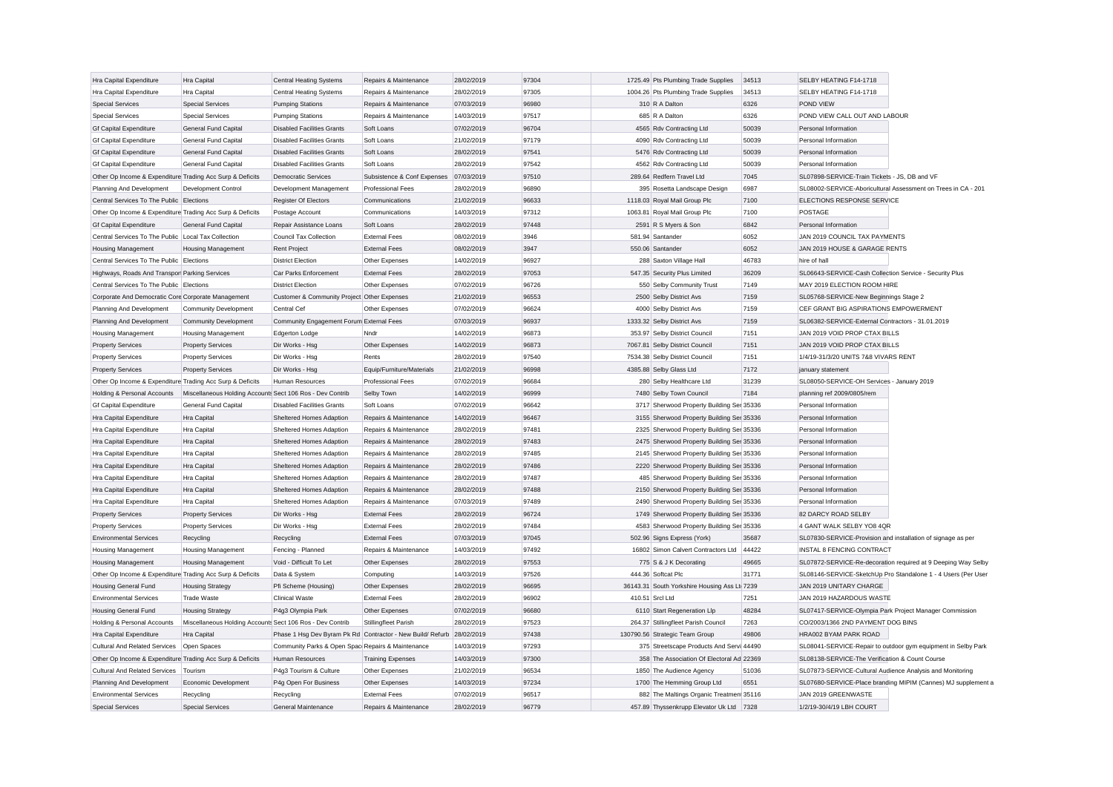| Hra Capital Expenditure                                   | Hra Capital                                               | <b>Central Heating Systems</b>                            | Repairs & Maintenance                         | 28/02/2019               | 97304          | 1725.49 Pts Plumbing Trade Supplies                                | 34513          | SELBY HEATING F14-1718                                                                    |                                                               |
|-----------------------------------------------------------|-----------------------------------------------------------|-----------------------------------------------------------|-----------------------------------------------|--------------------------|----------------|--------------------------------------------------------------------|----------------|-------------------------------------------------------------------------------------------|---------------------------------------------------------------|
| Hra Capital Expenditure                                   | Hra Capital                                               | <b>Central Heating Systems</b>                            | Repairs & Maintenance                         | 28/02/2019               | 97305          | 1004.26 Pts Plumbing Trade Supplies                                | 34513          | SELBY HEATING F14-1718                                                                    |                                                               |
| <b>Special Services</b>                                   | <b>Special Services</b>                                   | <b>Pumping Stations</b>                                   | Repairs & Maintenance                         | 07/03/2019               | 96980          | 310 R A Dalton                                                     | 6326           | POND VIEW                                                                                 |                                                               |
| <b>Special Services</b>                                   | <b>Special Services</b>                                   | <b>Pumping Stations</b>                                   | Repairs & Maintenance                         | 14/03/2019               | 97517          | 685 R A Dalton                                                     | 6326           | POND VIEW CALL OUT AND LABOUR                                                             |                                                               |
| <b>Gf Capital Expenditure</b>                             | General Fund Capital                                      | <b>Disabled Facilities Grants</b>                         | Soft Loans                                    | 07/02/2019               | 96704          | 4565 Rdv Contracting Ltd                                           | 50039          | Personal Information                                                                      |                                                               |
| <b>Gf Capital Expenditure</b>                             | General Fund Capital                                      | <b>Disabled Facilities Grants</b>                         | Soft Loans                                    | 21/02/2019               | 97179          | 4090 Rdv Contracting Ltd                                           | 50039          | Personal Information                                                                      |                                                               |
| <b>Gf Capital Expenditure</b>                             | General Fund Capital                                      | <b>Disabled Facilities Grants</b>                         | Soft Loans                                    | 28/02/2019               | 97541          | 5476 Rdv Contracting Ltd                                           | 50039          | Personal Information                                                                      |                                                               |
| <b>Gf Capital Expenditure</b>                             | <b>General Fund Capital</b>                               | <b>Disabled Facilities Grants</b>                         | Soft Loans                                    | 28/02/2019               | 97542          | 4562 Rdv Contracting Ltd                                           | 50039          | Personal Information                                                                      |                                                               |
| Other Op Income & Expenditure Trading Acc Surp & Deficits |                                                           | <b>Democratic Services</b>                                | Subsistence & Conf Expenses                   | 07/03/2019               | 97510          | 289.64 Redfern Travel Ltd                                          | 7045           | SL07898-SERVICE-Train Tickets - JS, DB and VF                                             |                                                               |
| Planning And Development                                  | Development Control                                       | Development Management                                    | Professional Fees                             | 28/02/2019               | 96890          | 395 Rosetta Landscape Design                                       | 6987           |                                                                                           | SL08002-SERVICE-Aboricultural Assessment on Trees in CA - 201 |
| Central Services To The Public Elections                  |                                                           | <b>Register Of Electors</b>                               | Communications                                | 21/02/2019               | 96633          | 1118.03 Royal Mail Group Plc                                       | 7100           | ELECTIONS RESPONSE SERVICE                                                                |                                                               |
| Other Op Income & Expenditure Trading Acc Surp & Deficits |                                                           | Postage Account                                           | Communications                                | 14/03/2019               | 97312          | 1063.81 Royal Mail Group Plc                                       | 7100           | <b>POSTAGE</b>                                                                            |                                                               |
| <b>Gf Capital Expenditure</b>                             | <b>General Fund Capital</b>                               | Repair Assistance Loans                                   | Soft Loans                                    | 28/02/2019               | 97448          | 2591 R S Myers & Son                                               | 6842           | Personal Information                                                                      |                                                               |
| Central Services To The Public Local Tax Collection       |                                                           | Council Tax Collection                                    | <b>External Fees</b>                          | 08/02/2019               | 3946           | 581.94 Santander                                                   | 6052           | JAN 2019 COUNCIL TAX PAYMENTS                                                             |                                                               |
| <b>Housing Management</b>                                 | Housing Management                                        | <b>Rent Project</b>                                       | <b>External Fees</b>                          | 08/02/2019               | 3947           | 550.06 Santander                                                   | 6052           | JAN 2019 HOUSE & GARAGE RENTS                                                             |                                                               |
| Central Services To The Public Elections                  |                                                           | <b>District Election</b>                                  | Other Expenses                                | 14/02/2019               | 96927          | 288 Saxton Village Hall                                            | 46783          | hire of hall                                                                              |                                                               |
| Highways, Roads And Transpor Parking Services             |                                                           | Car Parks Enforcement                                     | <b>External Fees</b>                          | 28/02/2019               | 97053          | 547.35 Security Plus Limited                                       | 36209          | SL06643-SERVICE-Cash Collection Service - Security Plus                                   |                                                               |
| Central Services To The Public Elections                  |                                                           | <b>District Election</b>                                  | Other Expenses                                | 07/02/2019               | 96726          | 550 Selby Community Trust                                          | 7149           | MAY 2019 ELECTION ROOM HIRE                                                               |                                                               |
| Corporate And Democratic Core Corporate Management        |                                                           | Customer & Community Project Other Expenses               |                                               | 21/02/2019               | 96553          | 2500 Selby District Avs                                            | 7159           | SL05768-SERVICE-New Beginnings Stage 2                                                    |                                                               |
| Planning And Development                                  | <b>Community Development</b>                              | Central Cef                                               | Other Expenses                                | 07/02/2019               | 96624          | 4000 Selby District Avs                                            | 7159           | CEF GRANT BIG ASPIRATIONS EMPOWERMENT                                                     |                                                               |
| Planning And Development                                  | <b>Community Development</b>                              | Community Engagement Forum External Fees                  |                                               | 07/03/2019               | 96937          | 1333.32 Selby District Avs                                         | 7159           | SL06382-SERVICE-External Contractors - 31.01.2019                                         |                                                               |
| Housing Management                                        | <b>Housing Management</b>                                 | Edgerton Lodge                                            | Nndr                                          | 14/02/2019               | 96873          | 353.97 Selby District Council                                      | 7151           | JAN 2019 VOID PROP CTAX BILLS                                                             |                                                               |
| <b>Property Services</b>                                  | <b>Property Services</b>                                  | Dir Works - Hsg                                           | Other Expenses                                | 14/02/2019               | 96873          | 7067.81 Selby District Council                                     | 7151           | JAN 2019 VOID PROP CTAX BILLS                                                             |                                                               |
| <b>Property Services</b>                                  | <b>Property Services</b>                                  | Dir Works - Hsg                                           | Rents                                         | 28/02/2019               | 97540          | 7534.38 Selby District Council                                     | 7151           | 1/4/19-31/3/20 UNITS 7&8 VIVARS RENT                                                      |                                                               |
| <b>Property Services</b>                                  | <b>Property Services</b>                                  | Dir Works - Hsg                                           | Equip/Furniture/Materials                     | 21/02/2019               | 96998          | 4385.88 Selby Glass Ltd                                            | 7172           | january statement                                                                         |                                                               |
| Other Op Income & Expenditure Trading Acc Surp & Deficits |                                                           | <b>Human Resources</b>                                    | <b>Professional Fees</b>                      | 07/02/2019               | 96684          | 280 Selby Healthcare Ltd                                           | 31239          | SL08050-SERVICE-OH Services - January 2019                                                |                                                               |
| Holding & Personal Accounts                               | Miscellaneous Holding Accounts Sect 106 Ros - Dev Contrib |                                                           | Selby Town                                    | 14/02/2019               | 96999          | 7480 Selby Town Council                                            | 7184           | planning ref 2009/0805/rem                                                                |                                                               |
| <b>Gf Capital Expenditure</b>                             | <b>General Fund Capital</b>                               | <b>Disabled Facilities Grants</b>                         | Soft Loans                                    | 07/02/2019               | 96642          | 3717 Sherwood Property Building Ser 35336                          |                | Personal Information                                                                      |                                                               |
| Hra Capital Expenditure                                   | Hra Capital                                               | Sheltered Homes Adaption                                  | Repairs & Maintenance                         | 14/02/2019               | 96467          | 3155 Sherwood Property Building Ser 35336                          |                | Personal Information                                                                      |                                                               |
| Hra Capital Expenditure                                   | Hra Capital                                               | Sheltered Homes Adaption                                  | Repairs & Maintenance                         | 28/02/2019               | 97481          | 2325 Sherwood Property Building Ser 35336                          |                | Personal Information                                                                      |                                                               |
| Hra Capital Expenditure                                   | Hra Capital                                               | Sheltered Homes Adaption                                  | Repairs & Maintenance                         | 28/02/2019               | 97483          | 2475 Sherwood Property Building Ser 35336                          |                | Personal Information                                                                      |                                                               |
| Hra Capital Expenditure                                   | Hra Capital                                               | Sheltered Homes Adaption                                  | Repairs & Maintenance                         | 28/02/2019               | 97485          | 2145 Sherwood Property Building Ser 35336                          |                | Personal Information                                                                      |                                                               |
| <b>Hra Capital Expenditure</b>                            | <b>Hra Capital</b>                                        | Sheltered Homes Adaption                                  | Repairs & Maintenance                         | 28/02/2019               | 97486          | 2220 Sherwood Property Building Ser 35336                          |                | Personal Information                                                                      |                                                               |
| Hra Capital Expenditure                                   | Hra Capital                                               | Sheltered Homes Adaption                                  | Repairs & Maintenance                         | 28/02/2019               | 97487          | 485 Sherwood Property Building Ser 35336                           |                | Personal Information                                                                      |                                                               |
|                                                           |                                                           |                                                           |                                               | 28/02/2019               | 97488          | 2150 Sherwood Property Building Ser 35336                          |                | Personal Information                                                                      |                                                               |
| Hra Capital Expenditure                                   | Hra Capital                                               | Sheltered Homes Adaption                                  | Repairs & Maintenance                         |                          | 97489          |                                                                    |                |                                                                                           |                                                               |
| Hra Capital Expenditure                                   | Hra Capital                                               | Sheltered Homes Adaption                                  | Repairs & Maintenance<br><b>External Fees</b> | 07/03/2019<br>28/02/2019 | 96724          | 2490 Sherwood Property Building Ser 35336                          |                | Personal Information<br>82 DARCY ROAD SELBY                                               |                                                               |
| <b>Property Services</b>                                  | <b>Property Services</b>                                  | Dir Works - Hsg                                           |                                               |                          | 97484          | 1749 Sherwood Property Building Ser 35336                          |                |                                                                                           |                                                               |
| <b>Property Services</b>                                  | <b>Property Services</b>                                  | Dir Works - Hsg                                           | <b>External Fees</b>                          | 28/02/2019               |                | 4583 Sherwood Property Building Ser 35336                          |                | 4 GANT WALK SELBY YO8 4QR                                                                 |                                                               |
| <b>Environmental Services</b>                             | Recycling                                                 | Recycling                                                 | <b>External Fees</b>                          | 07/03/2019<br>14/03/2019 | 97045<br>97492 | 502.96 Signs Express (York)<br>16802 Simon Calvert Contractors Ltd | 35687          | SL07830-SERVICE-Provision and installation of signage as per<br>INSTAL 8 FENCING CONTRACT |                                                               |
| <b>Housing Management</b>                                 | <b>Housing Management</b>                                 | Fencing - Planned                                         | Repairs & Maintenance                         |                          |                |                                                                    | 44422          |                                                                                           |                                                               |
| <b>Housing Management</b>                                 | <b>Housing Management</b>                                 | Void - Difficult To Let                                   | Other Expenses                                | 28/02/2019               | 97553          | 775 S & J K Decorating<br>444.36 Softcat Plc                       | 49665<br>31771 |                                                                                           | SL07872-SERVICE-Re-decoration required at 9 Deeping Way Selby |
| Other Op Income & Expenditure Trading Acc Surp & Deficits |                                                           | Data & System                                             | Computing                                     | 14/03/2019               | 97526          |                                                                    |                |                                                                                           | SL08146-SERVICE-SketchUp Pro Standalone 1 - 4 Users (Per User |
| <b>Housing General Fund</b>                               | <b>Housing Strategy</b>                                   | Pfi Scheme (Housing)                                      | Other Expenses                                | 28/02/2019               | 96695          | 36143.31 South Yorkshire Housing Ass Lt 7239                       |                | JAN 2019 UNITARY CHARGE                                                                   |                                                               |
| <b>Environmental Services</b>                             | <b>Trade Waste</b>                                        | <b>Clinical Waste</b>                                     | <b>External Fees</b>                          | 28/02/2019               | 96902          | 410.51 Srcl Ltd                                                    | 7251           | JAN 2019 HAZARDOUS WASTE                                                                  |                                                               |
| <b>Housing General Fund</b>                               | <b>Housing Strategy</b>                                   | P4g3 Olympia Park                                         | Other Expenses                                | 07/02/2019               | 96680          | 6110 Start Regeneration Llp                                        | 48284          | SL07417-SERVICE-Olympia Park Project Manager Commission                                   |                                                               |
| Holding & Personal Accounts                               | Miscellaneous Holding Accounts Sect 106 Ros - Dev Contrib |                                                           | Stillingfleet Parish                          | 28/02/2019               | 97523          | 264.37 Stillingfleet Parish Council                                | 7263           | CO/2003/1366 2ND PAYMENT DOG BINS                                                         |                                                               |
| <b>Hra Capital Expenditure</b>                            | <b>Hra Capital</b>                                        | Phase 1 Hsg Dev Byram Pk Rd Contractor - New Build/Refurb |                                               | 28/02/2019               | 97438          | 130790.56 Strategic Team Group                                     | 49806          | HRA002 BYAM PARK ROAD                                                                     |                                                               |
| Cultural And Related Services Open Spaces                 |                                                           | Community Parks & Open Spac Repairs & Maintenance         |                                               | 14/03/2019               | 97293          | 375 Streetscape Products And Servi 44490                           |                |                                                                                           | SL08041-SERVICE-Repair to outdoor gym equipment in Selby Park |
| Other Op Income & Expenditure Trading Acc Surp & Deficits |                                                           | Human Resources                                           | <b>Training Expenses</b>                      | 14/03/2019               | 97300          | 358 The Association Of Electoral Ad 22369                          |                | SL08138-SERVICE-The Verification & Count Course                                           |                                                               |
| Cultural And Related Services   Tourism                   |                                                           | P4g3 Tourism & Culture                                    | Other Expenses                                | 21/02/2019               | 96534          | 1850 The Audience Agency                                           | 51036          | SL07873-SERVICE-Cultural Audience Analysis and Monitoring                                 |                                                               |
| Planning And Development                                  | Economic Development                                      | P4g Open For Business                                     | Other Expenses                                | 14/03/2019               | 97234          | 1700 The Hemming Group Ltd                                         | 6551           |                                                                                           | SL07680-SERVICE-Place branding MIPIM (Cannes) MJ supplement a |
| <b>Environmental Services</b>                             | Recycling                                                 | Recycling                                                 | <b>External Fees</b>                          | 07/02/2019               | 96517          | 882 The Maltings Organic Treatmen 35116                            |                | JAN 2019 GREENWASTE                                                                       |                                                               |
| Special Services                                          | <b>Special Services</b>                                   | General Maintenance                                       | Repairs & Maintenance                         | 28/02/2019               | 96779          | 457.89 Thyssenkrupp Elevator Uk Ltd 7328                           |                | 1/2/19-30/4/19 LBH COURT                                                                  |                                                               |